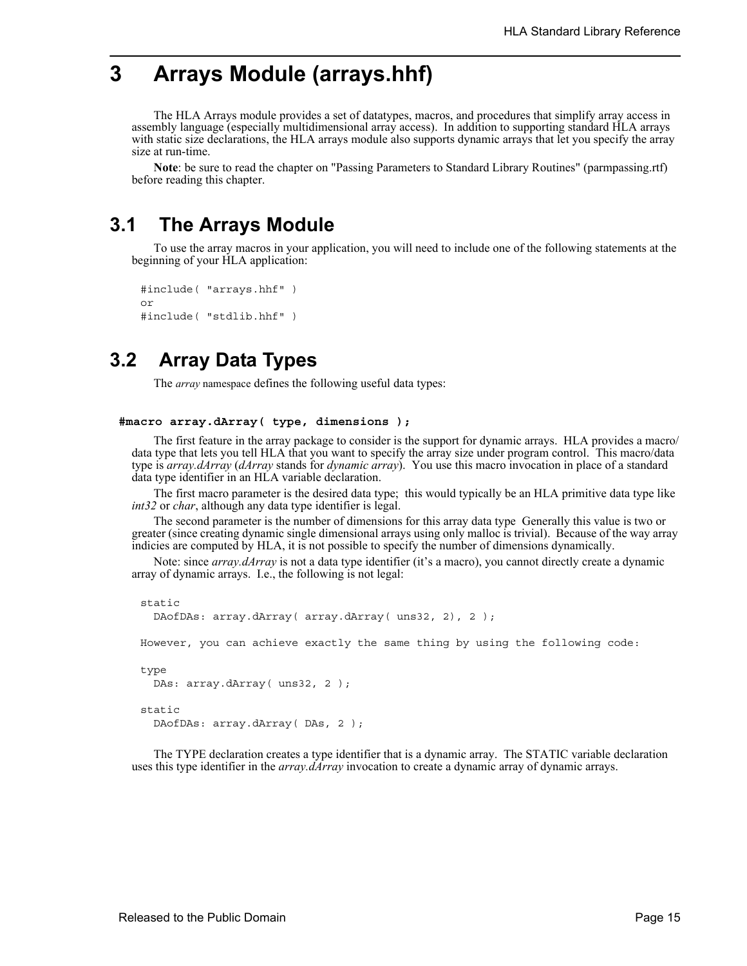# **3 Arrays Module (arrays.hhf)**

The HLA Arrays module provides a set of datatypes, macros, and procedures that simplify array access in assembly language (especially multidimensional array access). In addition to supporting standard HLA arrays with static size declarations, the HLA arrays module also supports dynamic arrays that let you specify the array size at run-time.

**Note**: be sure to read the chapter on "Passing Parameters to Standard Library Routines" (parmpassing.rtf) before reading this chapter.

# **3.1 The Arrays Module**

To use the array macros in your application, you will need to include one of the following statements at the beginning of your HLA application:

```
#include( "arrays.hhf" )
or
#include( "stdlib.hhf" )
```
## **3.2 Array Data Types**

The *array* namespace defines the following useful data types:

```
#macro array.dArray( type, dimensions );
```
The first feature in the array package to consider is the support for dynamic arrays. HLA provides a macro/ data type that lets you tell HLA that you want to specify the array size under program control. This macro/data type is *array.dArray* (*dArray* stands for *dynamic array*). You use this macro invocation in place of a standard data type identifier in an HLA variable declaration.

The first macro parameter is the desired data type; this would typically be an HLA primitive data type like *int32* or *char*, although any data type identifier is legal.

The second parameter is the number of dimensions for this array data type Generally this value is two or greater (since creating dynamic single dimensional arrays using only malloc is trivial). Because of the way array indicies are computed by HLA, it is not possible to specify the number of dimensions dynamically.

Note: since *array.dArray* is not a data type identifier (it's a macro), you cannot directly create a dynamic array of dynamic arrays. I.e., the following is not legal:

```
static
 DAofDAs: array.dArray( array.dArray( uns32, 2), 2 );
However, you can achieve exactly the same thing by using the following code:
type
 DAs: array.dArray( uns32, 2 );
static
 DAofDAs: array.dArray( DAs, 2 );
```
The TYPE declaration creates a type identifier that is a dynamic array. The STATIC variable declaration uses this type identifier in the *array.dArray* invocation to create a dynamic array of dynamic arrays.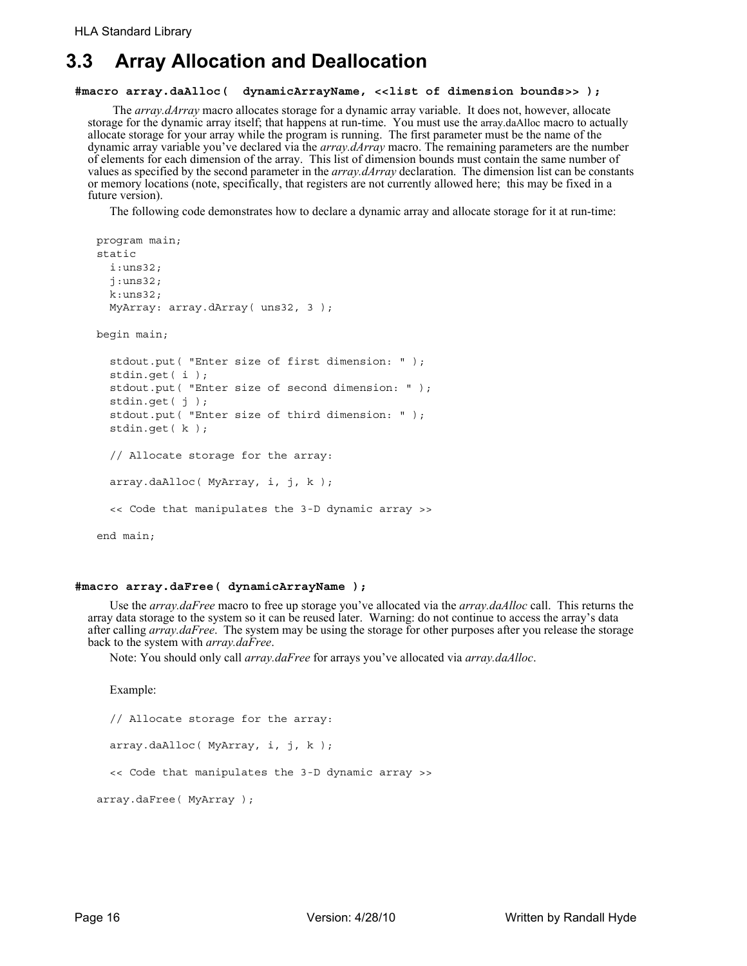# **3.3 Array Allocation and Deallocation**

### **#macro array.daAlloc( dynamicArrayName, <<list of dimension bounds>> );**

 The *array.dArray* macro allocates storage for a dynamic array variable. It does not, however, allocate storage for the dynamic array itself; that happens at run-time. You must use the array.daAlloc macro to actually allocate storage for your array while the program is running. The first parameter must be the name of the dynamic array variable you've declared via the *array.dArray* macro. The remaining parameters are the number of elements for each dimension of the array. This list of dimension bounds must contain the same number of values as specified by the second parameter in the *array.dArray* declaration. The dimension list can be constants or memory locations (note, specifically, that registers are not currently allowed here; this may be fixed in a future version).

The following code demonstrates how to declare a dynamic array and allocate storage for it at run-time:

```
program main;
static
  i:uns32;
  j:uns32;
  k:uns32;
  MyArray: array.dArray( uns32, 3 );
begin main;
  stdout.put( "Enter size of first dimension: " );
  stdin.get( i );
  stdout.put( "Enter size of second dimension: " );
  stdin.get( j );
  stdout.put( "Enter size of third dimension: " );
  stdin.get( k );
  // Allocate storage for the array:
  array.daAlloc( MyArray, i, j, k );
  << Code that manipulates the 3-D dynamic array >>
end main;
```
### **#macro array.daFree( dynamicArrayName );**

Use the *array.daFree* macro to free up storage you've allocated via the *array.daAlloc* call. This returns the array data storage to the system so it can be reused later. Warning: do not continue to access the array's data after calling *array.daFree*. The system may be using the storage for other purposes after you release the storage back to the system with *array.daFree*.

Note: You should only call *array.daFree* for arrays you've allocated via *array.daAlloc*.

Example:

```
// Allocate storage for the array:
 array.daAlloc( MyArray, i, j, k );
  << Code that manipulates the 3-D dynamic array >>
array.daFree( MyArray );
```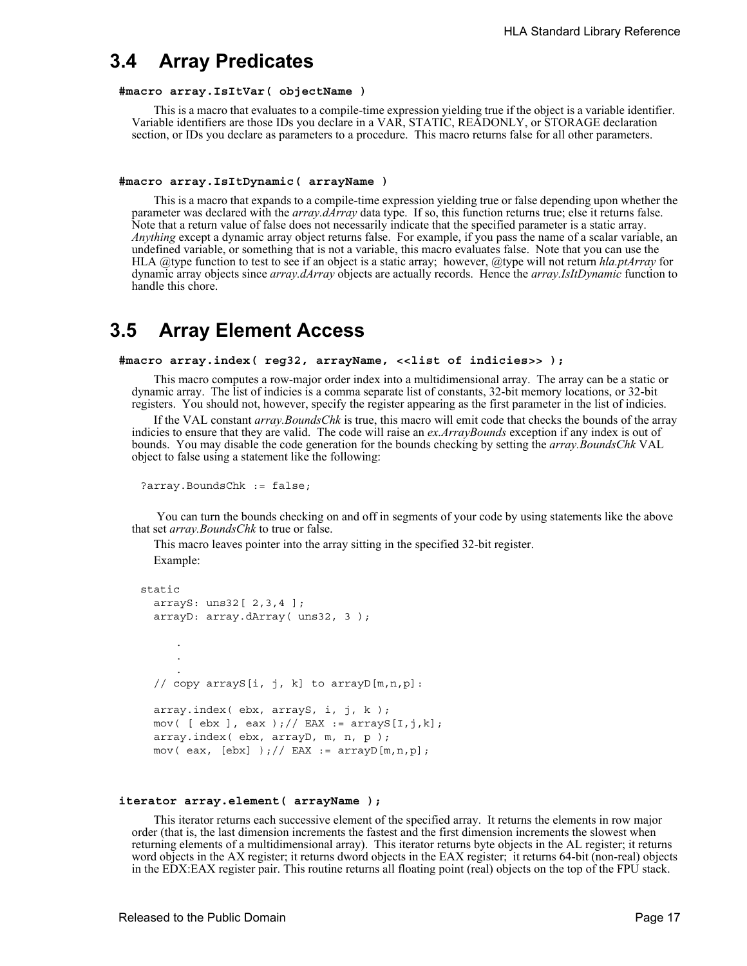## **3.4 Array Predicates**

## **#macro array.IsItVar( objectName )**

This is a macro that evaluates to a compile-time expression yielding true if the object is a variable identifier. Variable identifiers are those IDs you declare in a VAR, STATIC, READONLY, or STORAGE declaration section, or IDs you declare as parameters to a procedure. This macro returns false for all other parameters.

### **#macro array.IsItDynamic( arrayName )**

This is a macro that expands to a compile-time expression yielding true or false depending upon whether the parameter was declared with the *array.dArray* data type. If so, this function returns true; else it returns false. Note that a return value of false does not necessarily indicate that the specified parameter is a static array. *Anything* except a dynamic array object returns false. For example, if you pass the name of a scalar variable, an undefined variable, or something that is not a variable, this macro evaluates false. Note that you can use the HLA @type function to test to see if an object is a static array; however, @type will not return *hla.ptArray* for dynamic array objects since *array.dArray* objects are actually records. Hence the *array.IsItDynamic* function to handle this chore.

## **3.5 Array Element Access**

### **#macro array.index( reg32, arrayName, <<list of indicies>> );**

This macro computes a row-major order index into a multidimensional array. The array can be a static or dynamic array. The list of indicies is a comma separate list of constants, 32-bit memory locations, or 32-bit registers. You should not, however, specify the register appearing as the first parameter in the list of indicies.

If the VAL constant *array.BoundsChk* is true, this macro will emit code that checks the bounds of the array indicies to ensure that they are valid. The code will raise an *ex.ArrayBounds* exception if any index is out of bounds. You may disable the code generation for the bounds checking by setting the *array.BoundsChk* VAL object to false using a statement like the following:

```
?array.BoundsChk := false;
```
 You can turn the bounds checking on and off in segments of your code by using statements like the above that set *array.BoundsChk* to true or false.

This macro leaves pointer into the array sitting in the specified 32-bit register. Example:

```
static
  arrayS: uns32[ 2,3,4 ];
  arrayD: array.dArray( uns32, 3 );
     .
     .
     .
  // copy arrayS[i, j, k] to arrayD[m,n,p]:
  array.index( ebx, arrayS, i, j, k );
  mov( [ ebx ], eax );// EAX := arrayS[I,j,k];
  array.index( ebx, arrayD, m, n, p );
  mov( eax, [ebx] ); // EAX := arrayD[m, n, p];
```
#### **iterator array.element( arrayName );**

This iterator returns each successive element of the specified array. It returns the elements in row major order (that is, the last dimension increments the fastest and the first dimension increments the slowest when returning elements of a multidimensional array). This iterator returns byte objects in the AL register; it returns word objects in the AX register; it returns dword objects in the EAX register; it returns 64-bit (non-real) objects in the EDX:EAX register pair. This routine returns all floating point (real) objects on the top of the FPU stack.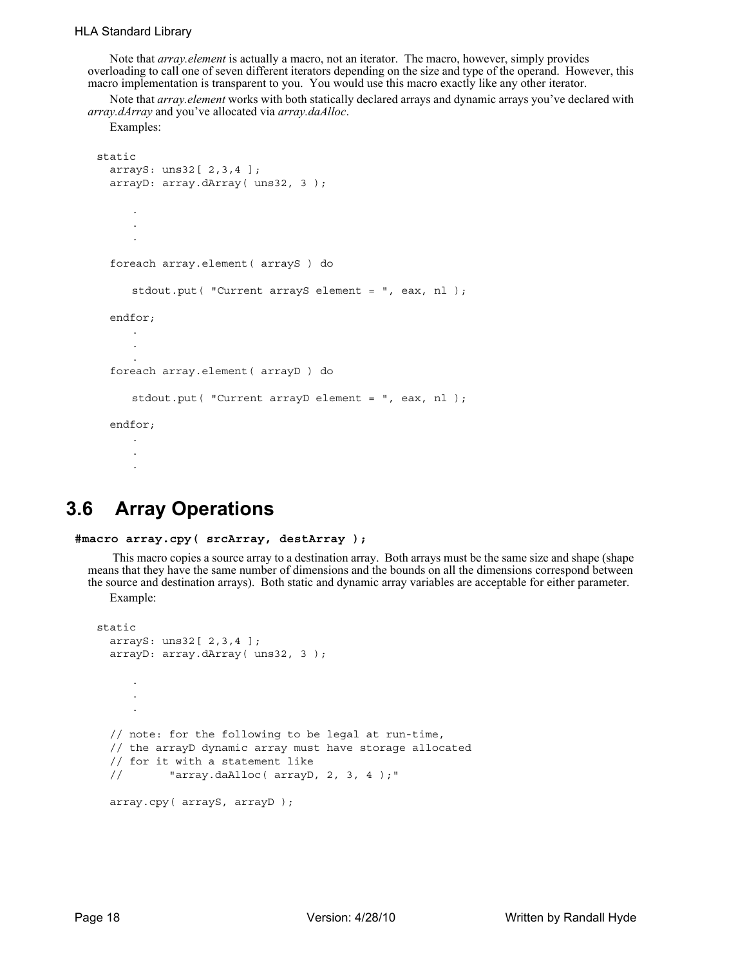### HLA Standard Library

Note that *array.element* is actually a macro, not an iterator. The macro, however, simply provides overloading to call one of seven different iterators depending on the size and type of the operand. However, this macro implementation is transparent to you. You would use this macro exactly like any other iterator.

Note that *array.element* works with both statically declared arrays and dynamic arrays you've declared with *array.dArray* and you've allocated via *array.daAlloc*.

Examples:

```
static
  arrayS: uns32[ 2,3,4 ];
  arrayD: array.dArray( uns32, 3 );
     .
     .
      .
  foreach array.element( arrayS ) do
     stdout.put( "Current arrayS element = ", eax, nl );
  endfor;
     .
     .
      .
  foreach array.element( arrayD ) do
     stdout.put( "Current arrayD element = ", eax, nl );
  endfor;
     .
     .
      .
```
## **3.6 Array Operations**

```
#macro array.cpy( srcArray, destArray );
```
 This macro copies a source array to a destination array. Both arrays must be the same size and shape (shape means that they have the same number of dimensions and the bounds on all the dimensions correspond between the source and destination arrays). Both static and dynamic array variables are acceptable for either parameter.

Example:

```
static
  arrayS: uns32[ 2,3,4 ];
  arrayD: array.dArray( uns32, 3 );
     .
     .
     .
  // note: for the following to be legal at run-time,
  // the arrayD dynamic array must have storage allocated
  // for it with a statement like 
  // "array.daAlloc( arrayD, 2, 3, 4 );"
  array.cpy( arrayS, arrayD );
```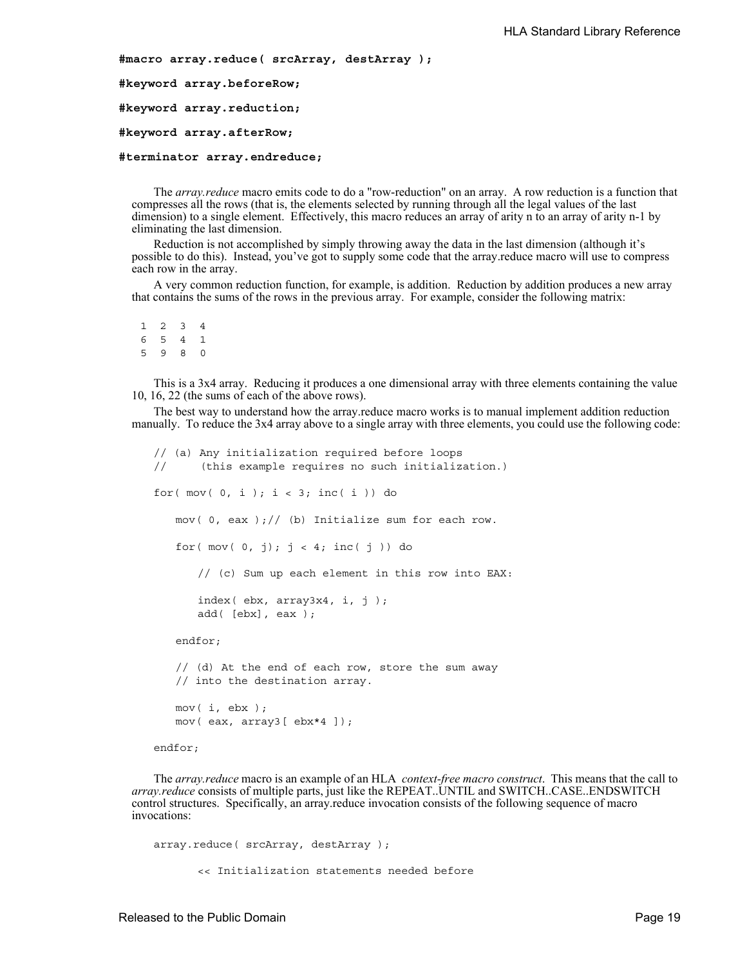**#macro array.reduce( srcArray, destArray );**

**#keyword array.beforeRow;**

**#keyword array.reduction;**

**#keyword array.afterRow;**

#### **#terminator array.endreduce;**

The *array.reduce* macro emits code to do a "row-reduction" on an array. A row reduction is a function that compresses all the rows (that is, the elements selected by running through all the legal values of the last dimension) to a single element. Effectively, this macro reduces an array of arity n to an array of arity n-1 by eliminating the last dimension.

Reduction is not accomplished by simply throwing away the data in the last dimension (although it's possible to do this). Instead, you've got to supply some code that the array.reduce macro will use to compress each row in the array.

A very common reduction function, for example, is addition. Reduction by addition produces a new array that contains the sums of the rows in the previous array. For example, consider the following matrix:

1 2 3 4 6 5 4 1 5 9 8 0

This is a 3x4 array. Reducing it produces a one dimensional array with three elements containing the value 10, 16, 22 (the sums of each of the above rows).

The best way to understand how the array.reduce macro works is to manual implement addition reduction manually. To reduce the 3x4 array above to a single array with three elements, you could use the following code:

```
// (a) Any initialization required before loops
// (this example requires no such initialization.)
for( mov( 0, i); i < 3; inc(i)) do
   mov( 0, eax )// (b) Initialize sum for each row.
   for( mov( 0, j); j < 4; inc(j) ) do
      // (c) Sum up each element in this row into EAX:
      index( ebx, array3x4, i, j );
      add( [ebx], eax );
   endfor;
   // (d) At the end of each row, store the sum away
   // into the destination array.
   mov( i, ebx );
   mov( eax, array3[ ebx*4 ]);
endfor;
```
The *array.reduce* macro is an example of an HLA *context-free macro construct*. This means that the call to *array.reduce* consists of multiple parts, just like the REPEAT..UNTIL and SWITCH..CASE..ENDSWITCH control structures. Specifically, an array.reduce invocation consists of the following sequence of macro invocations:

```
array.reduce( srcArray, destArray );
      << Initialization statements needed before
```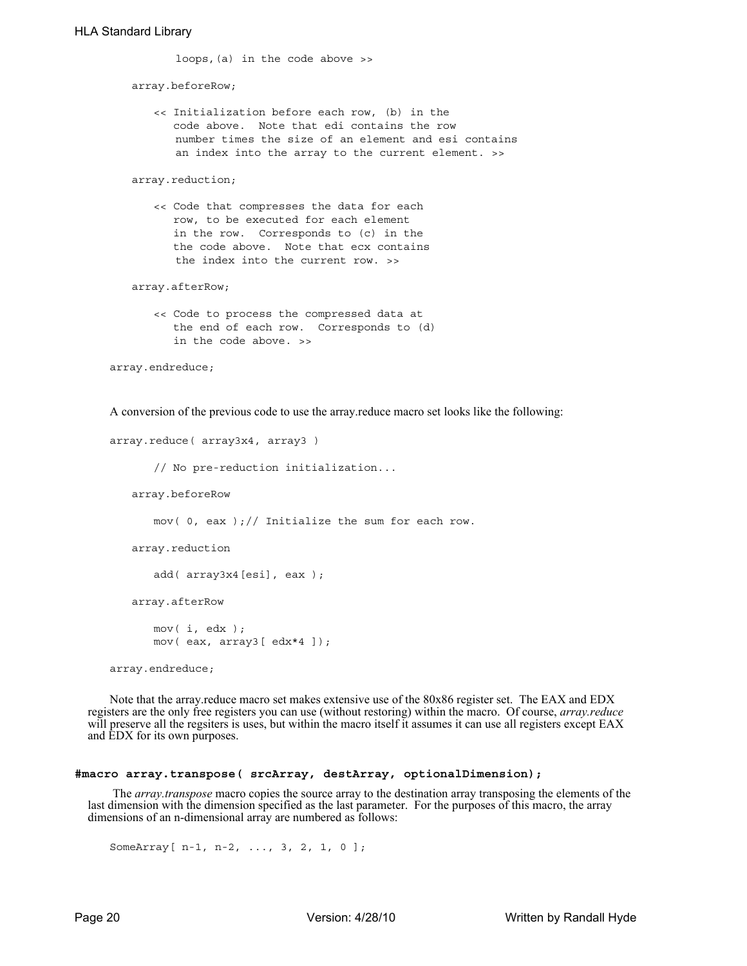loops,(a) in the code above >>

array.beforeRow;

<< Initialization before each row, (b) in the code above. Note that edi contains the row number times the size of an element and esi contains an index into the array to the current element. >>

array.reduction;

<< Code that compresses the data for each row, to be executed for each element in the row. Corresponds to (c) in the the code above. Note that ecx contains the index into the current row. >>

array.afterRow;

<< Code to process the compressed data at the end of each row. Corresponds to (d) in the code above. >>

```
array.endreduce;
```
A conversion of the previous code to use the array.reduce macro set looks like the following:

```
array.reduce( array3x4, array3 )
```
// No pre-reduction initialization...

array.beforeRow

mov(  $0$ , eax );// Initialize the sum for each row.

```
array.reduction
```

```
add( array3x4[esi], eax );
```
array.afterRow

mov( i, edx ); mov( eax, array3[ edx\*4 ]);

array.endreduce;

Note that the array.reduce macro set makes extensive use of the 80x86 register set. The EAX and EDX registers are the only free registers you can use (without restoring) within the macro. Of course, *array.reduce* will preserve all the regsiters is uses, but within the macro itself it assumes it can use all registers except EAX and EDX for its own purposes.

### **#macro array.transpose( srcArray, destArray, optionalDimension);**

 The *array.transpose* macro copies the source array to the destination array transposing the elements of the last dimension with the dimension specified as the last parameter. For the purposes of this macro, the array dimensions of an n-dimensional array are numbered as follows:

SomeArray[ n-1, n-2, ..., 3, 2, 1, 0 ];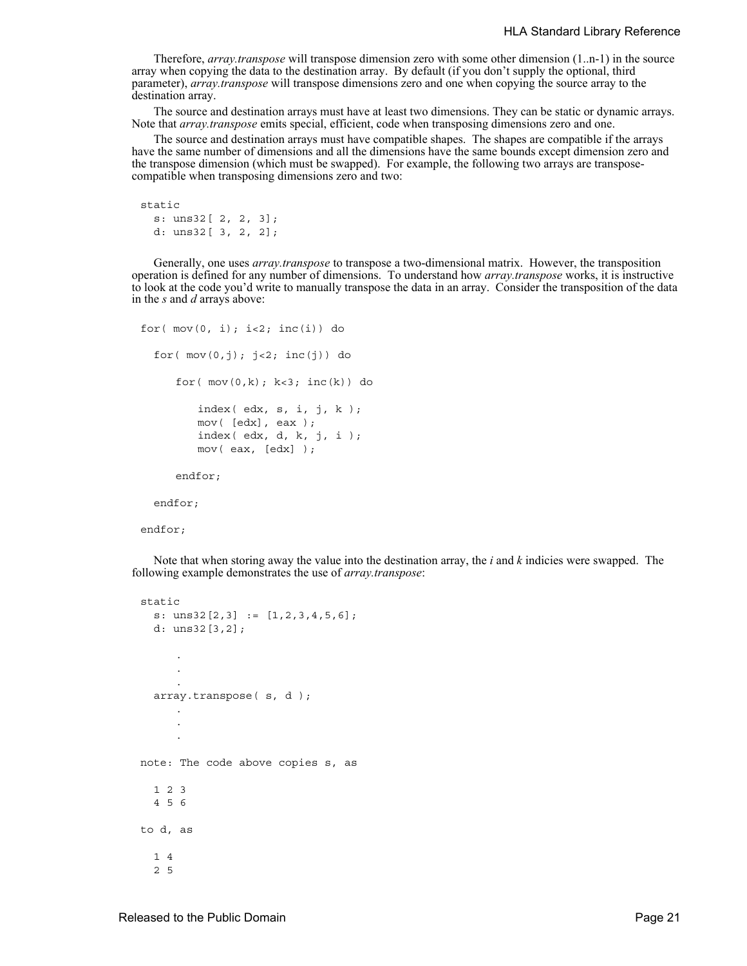Therefore, *array.transpose* will transpose dimension zero with some other dimension (1..n-1) in the source array when copying the data to the destination array. By default (if you don't supply the optional, third parameter), *array.transpose* will transpose dimensions zero and one when copying the source array to the destination array.

The source and destination arrays must have at least two dimensions. They can be static or dynamic arrays. Note that *array.transpose* emits special, efficient, code when transposing dimensions zero and one.

The source and destination arrays must have compatible shapes. The shapes are compatible if the arrays have the same number of dimensions and all the dimensions have the same bounds except dimension zero and the transpose dimension (which must be swapped). For example, the following two arrays are transposecompatible when transposing dimensions zero and two:

```
static
  s: uns32[ 2, 2, 3];
 d: uns32[ 3, 2, 2];
```
Generally, one uses *array.transpose* to transpose a two-dimensional matrix. However, the transposition operation is defined for any number of dimensions. To understand how *array.transpose* works, it is instructive to look at the code you'd write to manually transpose the data in an array. Consider the transposition of the data in the *s* and *d* arrays above:

```
for(mov(0, i); i < 2; inc(i)) do
  for( mov(0,j); j<2; inc(j)) do
     for(mov(0,k); k<3; inc(k)) do
         index( edx, s, i, j, k );
         mov( [edx], eax );
         index( edx, d, k, j, i );
         mov( eax, [edx] );
     endfor;
```
endfor;

endfor;

Note that when storing away the value into the destination array, the *i* and *k* indicies were swapped. The following example demonstrates the use of *array.transpose*:

```
static
  s: uns32[2,3] := [1,2,3,4,5,6];
  d: uns32[3,2];
     .
     .
      .
  array.transpose( s, d );
     .
     .
      .
note: The code above copies s, as
 1 2 3
  4 5 6
to d, as
  1 4
  2 5
```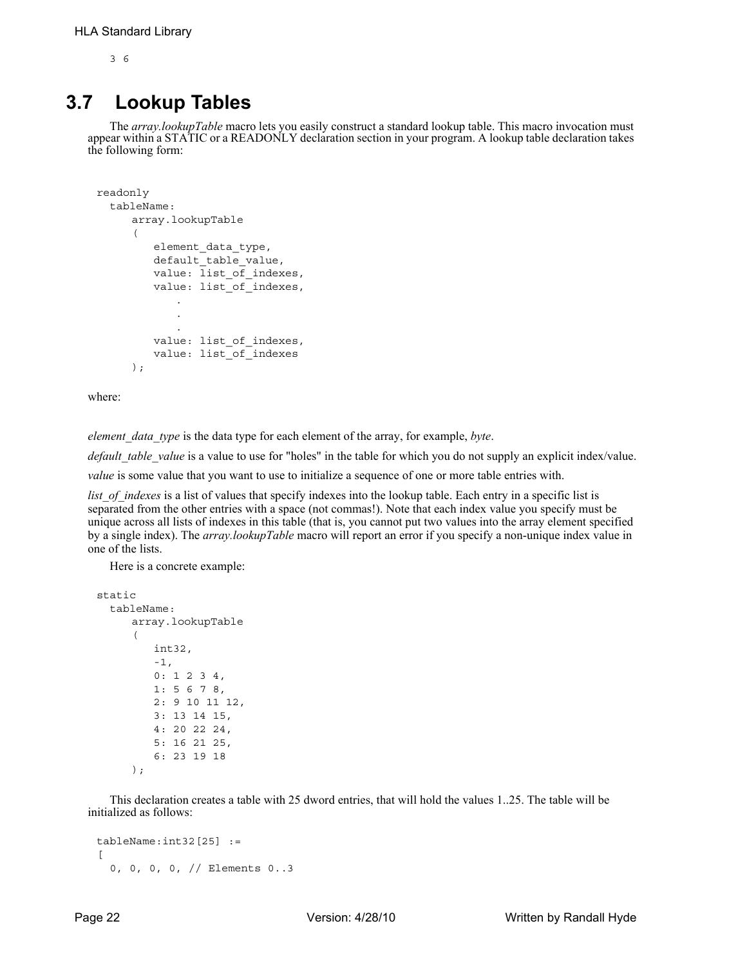3 6

## **3.7 Lookup Tables**

The *array.lookupTable* macro lets you easily construct a standard lookup table. This macro invocation must appear within a STATIC or a READONLY declaration section in your program. A lookup table declaration takes the following form:

```
readonly
  tableName:
     array.lookupTable
      (
         element_data_type,
         default table value,
         value: list of indexes,
         value: list of indexes,
             .
            .
             .
         value: list_of_indexes,
         value: list_of_indexes
     );
```
where:

*element\_data\_type* is the data type for each element of the array, for example, *byte*.

*default table value* is a value to use for "holes" in the table for which you do not supply an explicit index/value.

*value* is some value that you want to use to initialize a sequence of one or more table entries with.

*list of indexes* is a list of values that specify indexes into the lookup table. Each entry in a specific list is separated from the other entries with a space (not commas!). Note that each index value you specify must be unique across all lists of indexes in this table (that is, you cannot put two values into the array element specified by a single index). The *array.lookupTable* macro will report an error if you specify a non-unique index value in one of the lists.

Here is a concrete example:

```
static
  tableName:
     array.lookupTable
      (
         int32,
         -1,
         0: 1 2 3 4,
         1: 5 6 7 8,
         2: 9 10 11 12,
         3: 13 14 15,
         4: 20 22 24,
         5: 16 21 25,
         6: 23 19 18
     );
```
This declaration creates a table with 25 dword entries, that will hold the values 1..25. The table will be initialized as follows:

```
tableName:int32[25] :=
\sqrt{2}0, 0, 0, 0, // Elements 0..3
```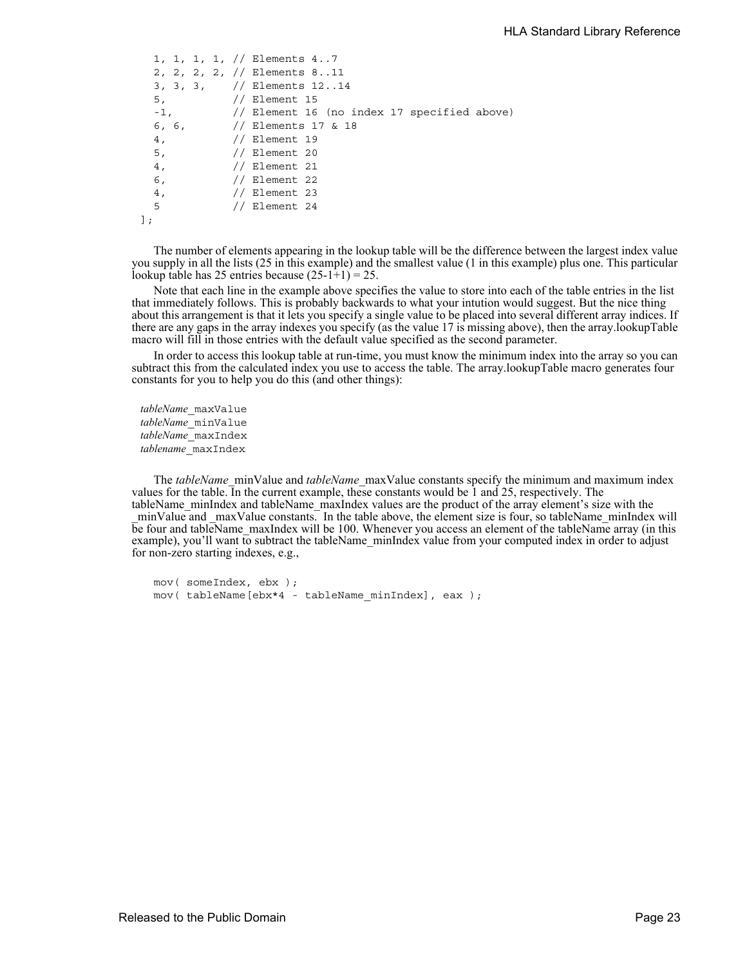```
1, 1, 1, 1, // Elements 4..7
 2, 2, 2, 2, // Elements 8..11
 3, 3, 3, // Elements 12..14
 5, // Element 15
 -1, // Element 16 (no index 17 specified above)
 6, 6, // Elements 17 & 18
 4, // Element 19
 5, // Element 20
 4, // Element 21
 6, // Element 22
 4, // Element 23
 5 // Element 24
];
```
The number of elements appearing in the lookup table will be the difference between the largest index value you supply in all the lists (25 in this example) and the smallest value (1 in this example) plus one. This particular lookup table has 25 entries because  $(25-1+1) = 25$ .

Note that each line in the example above specifies the value to store into each of the table entries in the list that immediately follows. This is probably backwards to what your intution would suggest. But the nice thing about this arrangement is that it lets you specify a single value to be placed into several different array indices. If there are any gaps in the array indexes you specify (as the value 17 is missing above), then the array.lookupTable macro will fill in those entries with the default value specified as the second parameter.

In order to access this lookup table at run-time, you must know the minimum index into the array so you can subtract this from the calculated index you use to access the table. The array.lookupTable macro generates four constants for you to help you do this (and other things):

*tableName*\_maxValue *tableName*\_minValue *tableName*\_maxIndex *tablename*\_maxIndex

The *tableName*\_minValue and *tableName*\_maxValue constants specify the minimum and maximum index values for the table. In the current example, these constants would be 1 and 25, respectively. The tableName\_minIndex and tableName\_maxIndex values are the product of the array element's size with the \_minValue and \_maxValue constants. In the table above, the element size is four, so tableName\_minIndex will be four and tableName\_maxIndex will be 100. Whenever you access an element of the tableName array (in this example), you'll want to subtract the tableName\_minIndex value from your computed index in order to adjust for non-zero starting indexes, e.g.,

```
mov( someIndex, ebx );
mov( tableName[ebx*4 - tableName_minIndex], eax );
```